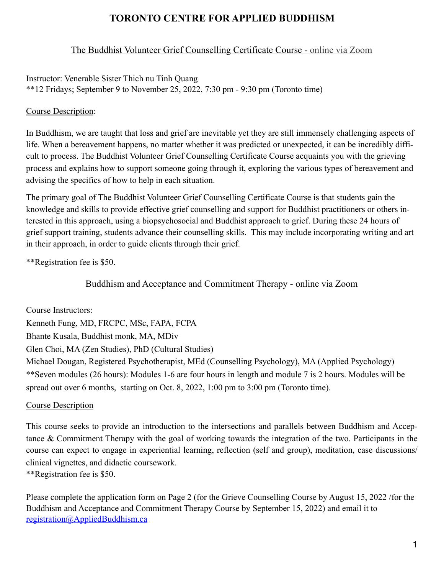# **TORONTO CENTRE FOR APPLIED BUDDHISM**

# The Buddhist Volunteer Grief Counselling Certificate Course - online via Zoom

Instructor: Venerable Sister Thich nu Tinh Quang \*\*12 Fridays; September 9 to November 25, 2022, 7:30 pm - 9:30 pm (Toronto time)

#### Course Description:

In Buddhism, we are taught that loss and grief are inevitable yet they are still immensely challenging aspects of life. When a bereavement happens, no matter whether it was predicted or unexpected, it can be incredibly difficult to process. The Buddhist Volunteer Grief Counselling Certificate Course acquaints you with the grieving process and explains how to support someone going through it, exploring the various types of bereavement and advising the specifics of how to help in each situation.

The primary goal of The Buddhist Volunteer Grief Counselling Certificate Course is that students gain the knowledge and skills to provide effective grief counselling and support for Buddhist practitioners or others interested in this approach, using a biopsychosocial and Buddhist approach to grief. During these 24 hours of grief support training, students advance their counselling skills. This may include incorporating writing and art in their approach, in order to guide clients through their grief.

\*\*Registration fee is \$50.

# Buddhism and Acceptance and Commitment Therapy - online via Zoom

Course Instructors: Kenneth Fung, MD, FRCPC, MSc, FAPA, FCPA Bhante Kusala, Buddhist monk, MA, MDiv Glen Choi, MA (Zen Studies), PhD (Cultural Studies) Michael Dougan, Registered Psychotherapist, MEd (Counselling Psychology), MA (Applied Psychology) \*\*Seven modules (26 hours): Modules 1-6 are four hours in length and module 7 is 2 hours. Modules will be spread out over 6 months, starting on Oct. 8, 2022, 1:00 pm to 3:00 pm (Toronto time).

### Course Description

This course seeks to provide an introduction to the intersections and parallels between Buddhism and Acceptance & Commitment Therapy with the goal of working towards the integration of the two. Participants in the course can expect to engage in experiential learning, reflection (self and group), meditation, case discussions/ clinical vignettes, and didactic coursework. \*\*Registration fee is \$50.

Please complete the application form on Page 2 (for the Grieve Counselling Course by August 15, 2022 /for the Buddhism and Acceptance and Commitment Therapy Course by September 15, 2022) and email it to [registration@AppliedBuddhism.ca](mailto:registration@AppliedBuddhism.ca)